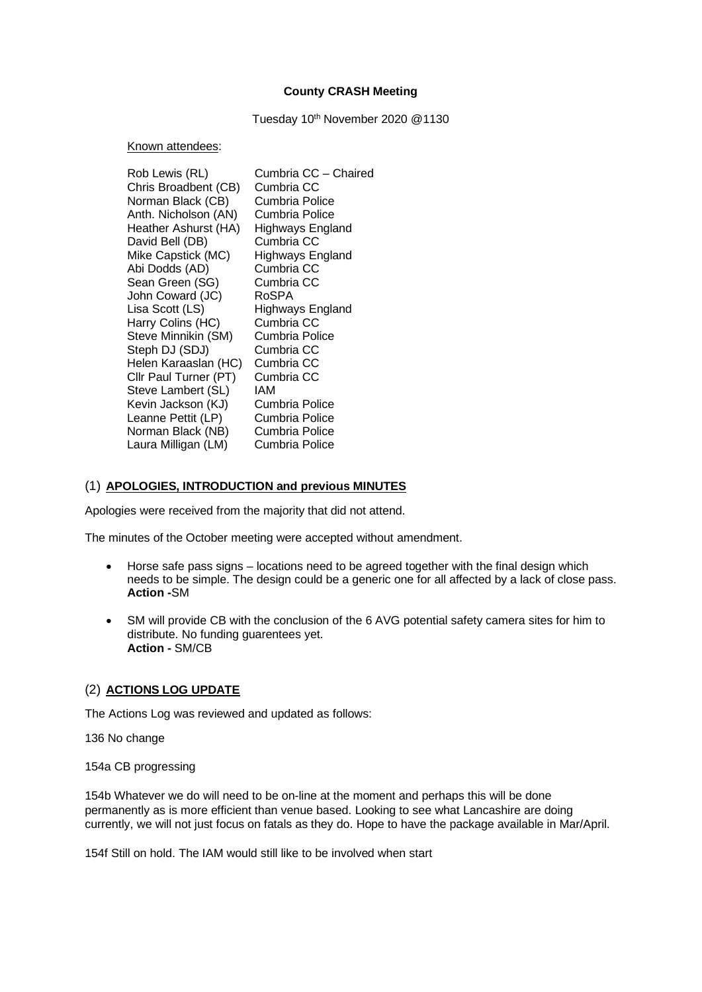### **County CRASH Meeting**

Tuesday 10<sup>th</sup> November 2020 @1130

#### Known attendees:

| Rob Lewis (RL)        | Cumbria CC - Chaired |
|-----------------------|----------------------|
| Chris Broadbent (CB)  | Cumbria CC           |
| Norman Black (CB)     | Cumbria Police       |
| Anth. Nicholson (AN)  | Cumbria Police       |
| Heather Ashurst (HA)  | Highways England     |
| David Bell (DB)       | Cumbria CC           |
| Mike Capstick (MC)    | Highways England     |
| Abi Dodds (AD)        | Cumbria CC           |
| Sean Green (SG)       | Cumbria CC           |
| John Coward (JC)      | RoSPA                |
| Lisa Scott (LS)       | Highways England     |
| Harry Colins (HC)     | Cumbria CC           |
| Steve Minnikin (SM)   | Cumbria Police       |
| Steph DJ (SDJ)        | Cumbria CC           |
| Helen Karaaslan (HC)  | Cumbria CC           |
| Cllr Paul Turner (PT) | Cumbria CC           |
| Steve Lambert (SL)    | IAM                  |
| Kevin Jackson (KJ)    | Cumbria Police       |
| Leanne Pettit (LP)    | Cumbria Police       |
| Norman Black (NB)     | Cumbria Police       |
| Laura Milligan (LM)   | Cumbria Police       |

### (1) **APOLOGIES, INTRODUCTION and previous MINUTES**

Apologies were received from the majority that did not attend.

The minutes of the October meeting were accepted without amendment.

- Horse safe pass signs locations need to be agreed together with the final design which needs to be simple. The design could be a generic one for all affected by a lack of close pass. **Action -**SM
- SM will provide CB with the conclusion of the 6 AVG potential safety camera sites for him to distribute. No funding guarentees yet. **Action -** SM/CB

### (2) **ACTIONS LOG UPDATE**

The Actions Log was reviewed and updated as follows:

136 No change

154a CB progressing

154b Whatever we do will need to be on-line at the moment and perhaps this will be done permanently as is more efficient than venue based. Looking to see what Lancashire are doing currently, we will not just focus on fatals as they do. Hope to have the package available in Mar/April.

154f Still on hold. The IAM would still like to be involved when start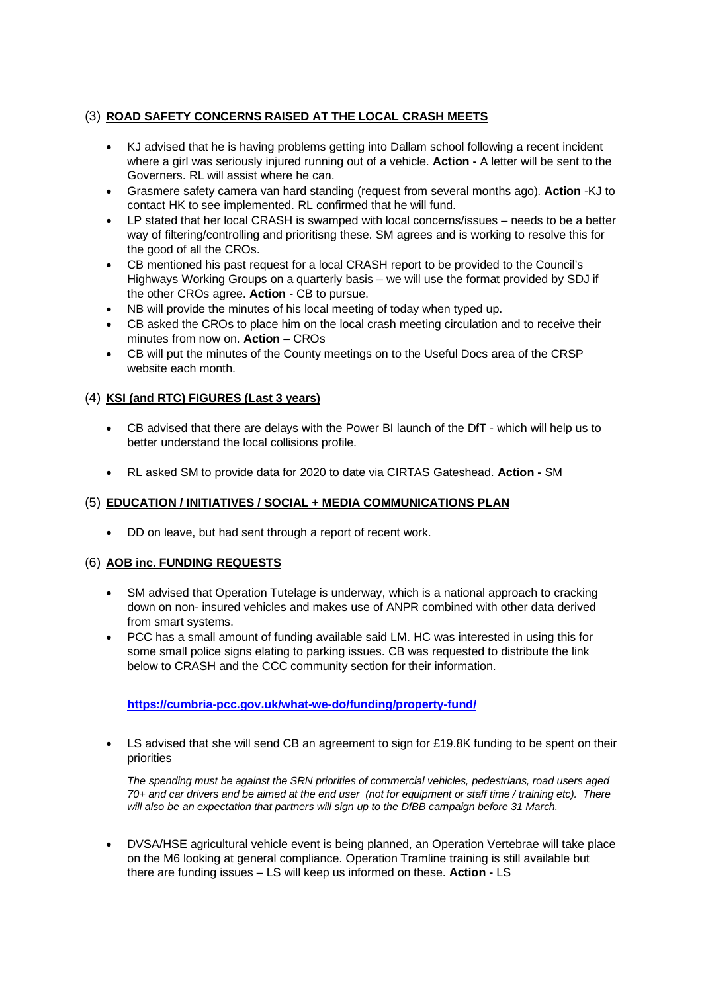# (3) **ROAD SAFETY CONCERNS RAISED AT THE LOCAL CRASH MEETS**

- KJ advised that he is having problems getting into Dallam school following a recent incident where a girl was seriously injured running out of a vehicle. **Action -** A letter will be sent to the Governers. RL will assist where he can.
- Grasmere safety camera van hard standing (request from several months ago). **Action** -KJ to contact HK to see implemented. RL confirmed that he will fund.
- LP stated that her local CRASH is swamped with local concerns/issues needs to be a better way of filtering/controlling and prioritisng these. SM agrees and is working to resolve this for the good of all the CROs.
- CB mentioned his past request for a local CRASH report to be provided to the Council's Highways Working Groups on a quarterly basis – we will use the format provided by SDJ if the other CROs agree. **Action** - CB to pursue.
- NB will provide the minutes of his local meeting of today when typed up.
- CB asked the CROs to place him on the local crash meeting circulation and to receive their minutes from now on. **Action** – CROs
- CB will put the minutes of the County meetings on to the Useful Docs area of the CRSP website each month.

## (4) **KSI (and RTC) FIGURES (Last 3 years)**

- CB advised that there are delays with the Power BI launch of the DfT which will help us to better understand the local collisions profile.
- RL asked SM to provide data for 2020 to date via CIRTAS Gateshead. **Action -** SM

## (5) **EDUCATION / INITIATIVES / SOCIAL + MEDIA COMMUNICATIONS PLAN**

• DD on leave, but had sent through a report of recent work.

## (6) **AOB inc. FUNDING REQUESTS**

- SM advised that Operation Tutelage is underway, which is a national approach to cracking down on non- insured vehicles and makes use of ANPR combined with other data derived from smart systems.
- PCC has a small amount of funding available said LM. HC was interested in using this for some small police signs elating to parking issues. CB was requested to distribute the link below to CRASH and the CCC community section for their information.

**<https://cumbria-pcc.gov.uk/what-we-do/funding/property-fund/>**

• LS advised that she will send CB an agreement to sign for £19.8K funding to be spent on their priorities

*The spending must be against the SRN priorities of commercial vehicles, pedestrians, road users aged 70+ and car drivers and be aimed at the end user (not for equipment or staff time / training etc). There will also be an expectation that partners will sign up to the DfBB campaign before 31 March.*

• DVSA/HSE agricultural vehicle event is being planned, an Operation Vertebrae will take place on the M6 looking at general compliance. Operation Tramline training is still available but there are funding issues – LS will keep us informed on these. **Action -** LS